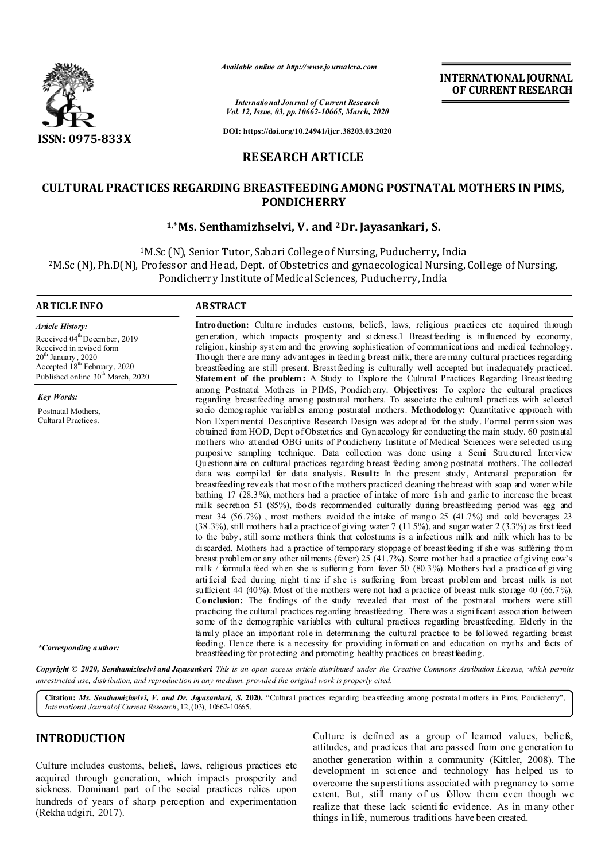

*Available online at http://www.journalcra.com*

**INTERNATIONAL JOURNAL OF CURRENT RESEARCH**

*International Journal of Current Research Vol. 12, Issue, 03, pp.10662-10665, March, 2020*

**DOI: https://doi.org/10.24941/ijcr.38203.03.2020**

## **RESEARCH ARTICLE**

# **CULTURAL PRACTICES REGARDING BREASTFEEDING AMONG POSTNATAL MOTHERS IN PIMS, PONDICHERRY**

#### **1,\*Ms. Senthamizhselvi, V. and 2Dr. Jayasankari, S.**

<sup>1</sup>M.Sc (N), Senior Tutor, Sabari College of Nursing, Puducherry, India 2M.Sc (N), Ph.D(N), Professor and Head, Dept. of Obstetrics and gynaecological Nursing, College of Nursing, Pondicherry Institute of Medical Sciences, Puducherry, India

#### **ARTICLE INFO ABSTRACT**

*Article History:* Received 04<sup>th</sup> December, 2019 Received in revised form  $20^{\rm th}$  January , 2020 Accepted 18<sup>th</sup> February, 2020 Published online  $30<sup>th</sup>$  March, 2020

*Key Words:* Postnatal Mothers, Cultural Practices.

generation, which impacts prosperity and sickness.1 Breastfeeding is influenced by economy, religion, kinship system and the growing sophistication of communications and medical technology. Though there are many advantages in feeding breast milk, there are many cultural practices regarding breastfeeding are still present. Breastfeeding is culturally well accepted but inadequately practiced. **Statement of the problem:** A Study to Explore the Cultural Practices Regarding Breastfeeding among Postnatal Mothers in PIMS, Pondicherry. **Objectives:** To explore the cultural practices regarding breastfeeding among postnatal mothers. To associate the cultural practices with selected socio demographic variables among postnatal mothers. **Methodology:** Quantitative approach with Non Experimental Descriptive Research Design was adopted for the study. Formal permission was obtained from HOD, Dept of Obstetrics and Gynaecology for conducting the main study. 60 postnatal mothers who attended OBG units of Pondicherry Institute of Medical Sciences were selected using purposive sampling technique. Data collection was done using a Semi Structured Interview Questionnaire on cultural practices regarding breast feeding among postnatal mothers. The collected data was compiled for data analysis. **Result:** In the present study, Antenatal preparation for breastfeeding reveals that most of the mothers practiced cleaning the breast with soap and water while bathing 17 (28.3%), mothers had a practice of intake of more fish and garlic to increase the breast milk secretion 51 (85%), foods recommended culturally during breastfeeding period was egg and meat 34 (56.7%) , most mothers avoided the intake of mango 25 (41.7%) and cold beverages 23  $(38.3\%)$ , still mothers had a practice of giving water 7 (11.5%), and sugar water 2 (3.3%) as first feed to the baby, still some mothers think that colostrums is a infectious milk and milk which has to be discarded. Mothers had a practice of temporary stoppage of breastfeeding if she was suffering fro m breast problem or any other ailments (fever) 25 (41.7%). Some mother had a practice of giving cow's milk / formula feed when she is suffering from fever 50 (80.3%). Mothers had a practice of giving artificial feed during night time if she is suffering from breast problem and breast milk is not sufficient 44 (40%). Most of the mothers were not had a practice of breast milk storage 40 (66.7%). **Conclusion:** The findings of the study revealed that most of the postnatal mothers were still practicing the cultural practices regarding breastfeeding. There was a significant association between some of the demographic variables with cultural practices regarding breastfeeding. Elderly in the family place an important role in determining the cultural practice to be followed regarding breast feeding. Hence there is a necessity for providing information and education on myths and facts of breastfeeding for protecting and promoting healthy practices on breastfeeding.

Introduction: Culture includes customs, beliefs, laws, religious practices etc acquired through

*\*Corresponding author:* 

Copyright © 2020. Senthamizhselvi and Jayasankari This is an open access article distributed under the Creative Commons Attribution License, which permits *unrestricted use, distribution, and reproduction in any medium, provided the original work is properly cited.*

**Citation:** *Ms. Senthamizhselvi, V. and Dr. Jayasankari, S.* **2020.** "Cultural practices regarding breastfeeding among postnatal mothers in Pims, Pondicherry", *International Journal of Current Research*, 12, (03), 10662-10665.

## **INTRODUCTION**

Culture includes customs, beliefs, laws, religious practices etc acquired through generation, which impacts prosperity and sickness. Dominant part of the social practices relies upon hundreds of years of sharp perception and experimentation (Rekha udgiri, 2017).

Culture is defined as a group of learned values, beliefs, attitudes, and practices that are passed from one generation to another generation within a community (Kittler, 2008). The development in science and technology has helped us to overcome the sup erstitions associated with pregnancy to som e extent. But, still many of us follow them even though we realize that these lack scienti fic evidence. As in many other things in life, numerous traditions have been created.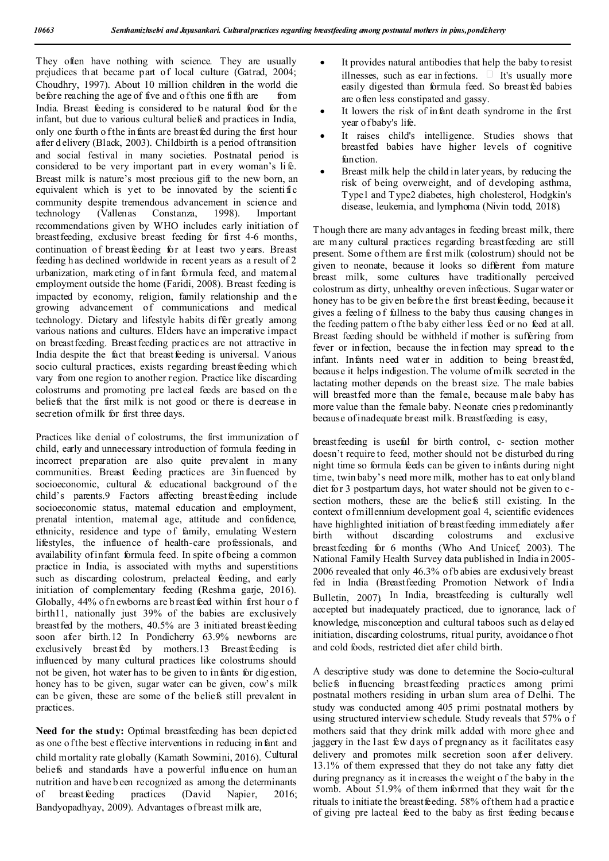They often have nothing with science. They are usually prejudices that became part of local culture (Gatrad, 2004; Choudhry, 1997). About 10 million children in the world die before reaching the age of five and of this one fifth are from India. Breast feeding is considered to be natural food for the infant, but due to various cultural beliefs and practices in India, only one fourth of the infants are breast fed during the first hour after d elivery (Black, 2003). Childbirth is a period of transition and social festival in many societies. Postnatal period is considered to be very important part in every woman's li fe. Breast milk is nature's most precious gift to the new born, an equivalent which is yet to be innovated by the scienti fic community despite tremendous advancement in science and technology (Vallenas Constanza, 1998). Important recommendations given by WHO includes early initiation of breastfeeding, exclusive breast feeding for first 4-6 months, continuation of breast feeding for at least two years. Breast feeding h as declined worldwide in recent years as a result of 2 urbanization, marketing of infant formula feed, and matemal employment outside the home (Faridi, 2008). Breast feeding is impacted by economy, religion, family relationship and the growing advancement of communications and medical technology. Dietary and lifestyle habits differ greatly among various nations and cultures. Elders have an imperative impact on breastfeeding. Breast feeding practices are not attractive in India despite the fact that breast feeding is universal. Various socio cultural practices, exists regarding breast feeding which vary from one region to another region. Practice like discarding colostrums and promoting pre lacteal feeds are based on the beliefs that the first milk is not good or there is decrease in secretion of milk for first three days.

Practices like denial of colostrums, the first immunization of child, early and unnecessary introduction of formula feeding in incorrect preparation are also quite prevalent in many communities. Breast feeding practices are 3influenced by socioeconomic, cultural & educational background of the child's parents.9 Factors affecting breast feeding include socioeconomic status, maternal education and employment, prenatal intention, maternal age, attitude and confidence, ethnicity, residence and type of family, emulating Western lifestyles, the influence of health-care professionals, and availability of infant formula feed. In spite of being a common practice in India, is associated with myths and superstitions such as discarding colostrum, prelacteal feeding, and early initiation of complementary feeding (Reshma garje, 2016). Globally, 44% of n ewborns are b reast feed within first hour of birth11, nationally just 39% of the babies are exclusively breastfed by the mothers,  $40.5\%$  are 3 initiated breastfeeding soon after birth.12 In Pondicherry 63.9% newborns are exclusively breast fed by mothers.13 Breast feeding is influenced by many cultural practices like colostrums should not be given, hot water has to be given to infants for dig estion, honey has to be given, sugar water can be given, cow's milk can be given, these are some of the beliefs still prevalent in practices.

Need for the study: Optimal breastfeeding has been depicted as one of the best effective interventions in reducing infant and child mortality rate globally (Kamath Sowmini, 2016). Cultural beliefs and standards have a powerful influence on human nutrition and have b een recognized as among the determinants of breast feeding practices (David Napier, 2016; Bandyopadhyay, 2009). Advantages of breast milk are,

- It provides natural antibodies that help the baby to resist illnesses, such as ear infections.  $\Box$  It's usually more easily digested than formula feed. So breastfed babies are often less constipated and gassy.
- It lowers the risk of infant death syndrome in the first year of baby's life.
- It raises child's intelligence. Studies shows that breastfed babies have higher levels of cognitive function.
- Breast milk help the child in later years, by reducing the risk of being overweight, and of developing asthma, Type1 and Type2 diabetes, high cholesterol, Hodgkin's disease, leukemia, and lymphoma (Nivin todd, 2018).

Though there are many advantages in feeding breast milk, there are many cultural practices regarding breastfeeding are still present. Some of them are first milk (colostrum) should not be given to neonate, because it looks so different from mature breast milk, some cultures have traditionally perceived colostrum as dirty, unhealthy or even infectious. Sugar water or honey has to be given before the first breast feeding, because it gives a feeling o f fullness to the baby thus causing changes in the feeding pattern o f the baby either less feed or no feed at all. Breast feeding should be withheld if mother is suffering from fever or infection, because the infection may spread to the infant. Infants need water in addition to being breastfed, because it helps indigestion. The volume of milk secreted in the lactating mother depends on the breast size. The male babies will breastfed more than the female, because male baby has more value than the female baby. Neonate cries p redominantly because of inadequate breast milk. Breastfeeding is easy,

breastfeeding is useful for birth control, c- section mother doesn't require to feed, mother should not be disturbed du ring night time so formula feeds can be given to infants during night time, twin baby's need more milk, mother has to eat only bland diet for 3 postpartum days, hot water should not be given to csection mothers, these are the beliefs still existing. In the context of millennium development goal 4, scientific evidences have highlighted initiation of breastfeeding immediately after birth without discarding colostrums and exclusive breastfeeding for 6 months (Who And Unicef, 2003). The National Family Health Survey data published in India in 2005- 2006 revealed that only 46.3% of b abies are exclusively breast fed in India (Breastfeeding Promotion Network of India Bulletin, 2007). In India, breastfeeding is culturally well accepted but inadequately practiced, due to ignorance, lack of knowledge, misconception and cultural taboos such as delayed initiation, discarding colostrums, ritual purity, avoidance o fhot and cold foods, restricted diet after child birth.

A descriptive study was done to determine the Socio-cultural beliefs influencing breastfeeding practices among primi postnatal mothers residing in urban slum area of Delhi. The study was conducted among 405 primi postnatal mothers by using structured interview schedule. Study reveals that 57% o f mothers said that they drink milk added with more ghee and jaggery in the last few days of pregnancy as it facilitates easy delivery and promotes milk secretion soon after delivery. 13.1% of them expressed that they do not take any fatty diet during pregnancy as it increases the weight o f the b aby in the womb. About 51.9% of them informed that they wait for the rituals to initiate the breast feeding. 58% of them h ad a practice of giving pre lacteal feed to the baby as first feeding because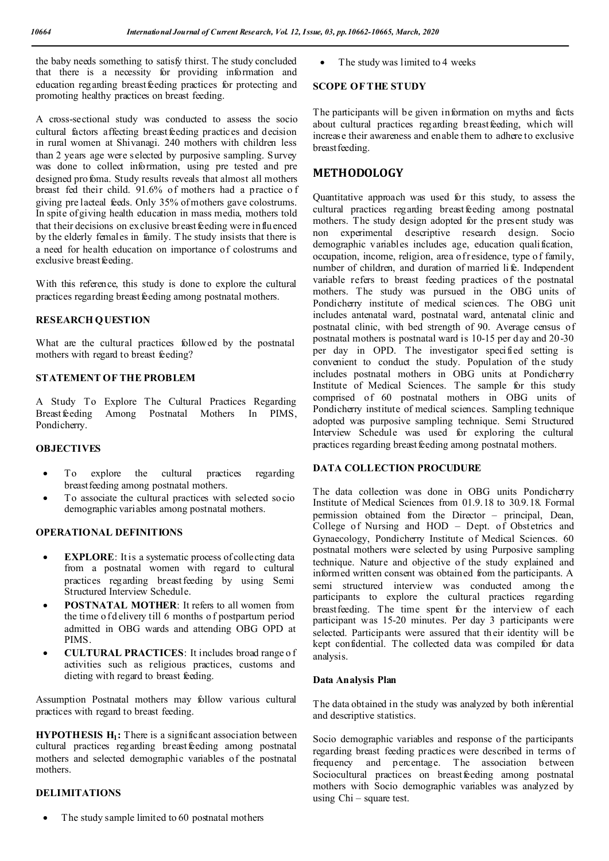the baby needs something to satisfy thirst. The study concluded that there is a necessity for providing information and education regarding breast feeding practices for protecting and promoting healthy practices on breast feeding.

A cross-sectional study was conducted to assess the socio cultural factors affecting breast feeding practices and decision in rural women at Shivanagi. 240 mothers with children less than 2 years age were selected by purposive sampling. Survey was done to collect information, using pre tested and pre designed profoma. Study results reveals that almost all mothers breast fed their child. 91.6% of mothers had a practice o f giving pre lacteal feeds. Only 35% of mothers gave colostrums. In spite of giving health education in mass media, mothers told that their decisions on exclusive breast feeding were influenced by the elderly females in family. T he study insists that there is a need for health education on importance of colostrums and exclusive breast feeding.

With this reference, this study is done to explore the cultural practices regarding breast feeding among postnatal mothers.

#### **RESEARCH QUESTION**

What are the cultural practices followed by the postnatal mothers with regard to breast feeding?

#### **STATEMENT OF THE PROBLEM**

A Study To Explore The Cultural Practices Regarding Breast feeding Among Postnatal Mothers In PIMS, Pondicherry.

#### **OBJECTIVES**

- To explore the cultural practices regarding breastfeeding among postnatal mothers.
- To associate the cultural practices with selected socio demographic variables among postnatal mothers.

#### **OPERATIONAL DEFINITIONS**

- **EXPLORE:** It is a systematic process of collecting data from a postnatal women with regard to cultural practices regarding breast feeding by using Semi Structured Interview Schedule.
- **POSTNATAL MOTHER**: It refers to all women from the time o f d elivery till 6 months o f postpartum period admitted in OBG wards and attending OBG OPD at **PIMS**.
- **CULTURAL PRACTICES**: It includes broad range o f activities such as religious practices, customs and dieting with regard to breast feeding.

Assumption Postnatal mothers may follow various cultural practices with regard to breast feeding.

**HYPOTHESIS H<sub>1</sub>:** There is a significant association between cultural practices regarding breast feeding among postnatal mothers and selected demographic variables of the postnatal mothers.

#### **DELIMITATIONS**

The study sample limited to 60 postnatal mothers

• The study was limited to 4 weeks

#### **SCOPE OF THE STUDY**

The participants will be given information on myths and facts about cultural practices regarding breastfeeding, which will increase their awareness and enable them to adhere to exclusive breastfeeding.

# **METHODOLOGY**

Quantitative approach was used for this study, to assess the cultural practices regarding breast feeding among postnatal mothers. The study design adopted for the present study was non experimental descriptive research design. Socio demographic variables includes age, education qualification, occupation, income, religion, area of residence, type of family, number of children, and duration of married li fe. Independent variable refers to breast feeding practices of the postnatal mothers. The study was pursued in the OBG units of Pondicherry institute of medical sciences. The OBG unit includes antenatal ward, postnatal ward, antenatal clinic and postnatal clinic, with bed strength of 90. Average census of postnatal mothers is postnatal ward is 10-15 per day and 20-30 per day in OPD. The investigator specified setting is convenient to conduct the study. Population of the study includes postnatal mothers in OBG units at Pondicherry Institute of Medical Sciences. The sample for this study comprised of 60 postnatal mothers in OBG units of Pondicherry institute of medical sciences. Sampling technique adopted was purposive sampling technique. Semi Structured Interview Schedule was used for exploring the cultural practices regarding breast feeding among postnatal mothers.

## **DATA COLLECTION PROCUDURE**

The data collection was done in OBG units Pondicherry Institute of Medical Sciences from 01.9.18 to 30.9.18. Formal permission obtained from the Director – principal, Dean, College of Nursing and HOD – Dept. of Obstetrics and Gynaecology, Pondicherry Institute of Medical Sciences. 60 postnatal mothers were selected by using Purposive sampling technique. Nature and objective of the study explained and informed written consent was obtained from the participants. A semi structured interview was conducted among the participants to explore the cultural practices regarding breastfeeding. The time spent for the interview of each participant was 15-20 minutes. Per day 3 participants were selected. Participants were assured that their identity will be kept confidential. The collected data was compiled for data analysis.

#### **Data Analysis Plan**

The data obtained in the study was analyzed by both inferential and descriptive statistics.

Socio demographic variables and response of the participants regarding breast feeding practices were described in terms of frequency and percentage. The association between Sociocultural practices on breastfeeding among postnatal mothers with Socio demographic variables was analyzed by using Chi – square test.